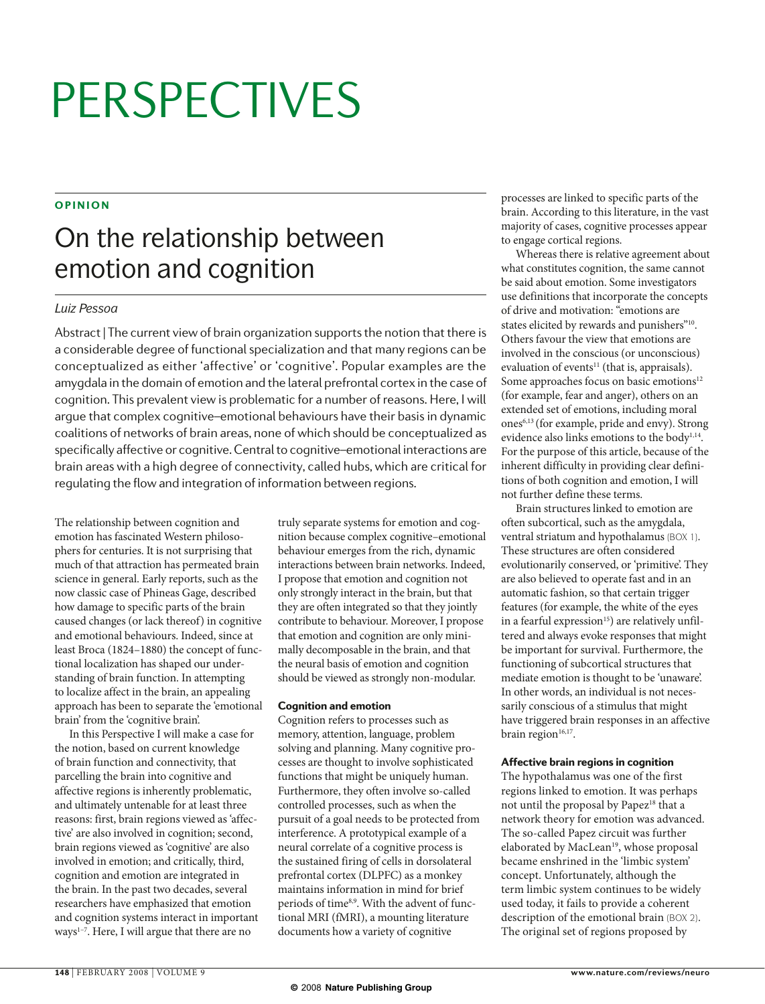### **OPINION**

## On the relationship between emotion and cognition

### *Luiz Pessoa*

Abstract | The current view of brain organization supports the notion that there is a considerable degree of functional specialization and that many regions can be conceptualized as either 'affective' or 'cognitive'. Popular examples are the amygdala in the domain of emotion and the lateral prefrontal cortex in the case of cognition. This prevalent view is problematic for a number of reasons. Here, I will argue that complex cognitive–emotional behaviours have their basis in dynamic coalitions of networks of brain areas, none of which should be conceptualized as specifically affective or cognitive. Central to cognitive–emotional interactions are brain areas with a high degree of connectivity, called hubs, which are critical for regulating the flow and integration of information between regions.

The relationship between cognition and emotion has fascinated Western philosophers for centuries. It is not surprising that much of that attraction has permeated brain science in general. Early reports, such as the now classic case of Phineas Gage, described how damage to specific parts of the brain caused changes (or lack thereof) in cognitive and emotional behaviours. Indeed, since at least Broca (1824–1880) the concept of functional localization has shaped our understanding of brain function. In attempting to localize affect in the brain, an appealing approach has been to separate the 'emotional brain' from the 'cognitive brain'.

In this Perspective I will make a case for the notion, based on current knowledge of brain function and connectivity, that parcelling the brain into cognitive and affective regions is inherently problematic, and ultimately untenable for at least three reasons: first, brain regions viewed as 'affective' are also involved in cognition; second, brain regions viewed as 'cognitive' are also involved in emotion; and critically, third, cognition and emotion are integrated in the brain. In the past two decades, several researchers have emphasized that emotion and cognition systems interact in important ways<sup>1-7</sup>. Here, I will argue that there are no

truly separate systems for emotion and cognition because complex cognitive–emotional behaviour emerges from the rich, dynamic interactions between brain networks. Indeed, I propose that emotion and cognition not only strongly interact in the brain, but that they are often integrated so that they jointly contribute to behaviour. Moreover, I propose that emotion and cognition are only minimally decomposable in the brain, and that the neural basis of emotion and cognition should be viewed as strongly non-modular.

#### Cognition and emotion

Cognition refers to processes such as memory, attention, language, problem solving and planning. Many cognitive processes are thought to involve sophisticated functions that might be uniquely human. Furthermore, they often involve so-called controlled processes, such as when the pursuit of a goal needs to be protected from interference. A prototypical example of a neural correlate of a cognitive process is the sustained firing of cells in dorsolateral prefrontal cortex (DLPFC) as a monkey maintains information in mind for brief periods of time<sup>8,9</sup>. With the advent of functional MRI (fMRI), a mounting literature documents how a variety of cognitive

processes are linked to specific parts of the brain. According to this literature, in the vast majority of cases, cognitive processes appear to engage cortical regions.

Whereas there is relative agreement about what constitutes cognition, the same cannot be said about emotion. Some investigators use definitions that incorporate the concepts of drive and motivation: "emotions are states elicited by rewards and punishers"<sup>10</sup>. Others favour the view that emotions are involved in the conscious (or unconscious) evaluation of events<sup>11</sup> (that is, appraisals). Some approaches focus on basic emotions<sup>12</sup> (for example, fear and anger), others on an extended set of emotions, including moral ones6,13 (for example, pride and envy). Strong evidence also links emotions to the body<sup>1,14</sup>. For the purpose of this article, because of the inherent difficulty in providing clear definitions of both cognition and emotion, I will not further define these terms.

Brain structures linked to emotion are often subcortical, such as the amygdala, ventral striatum and hypothalamus (BOX 1). These structures are often considered evolutionarily conserved, or 'primitive'. They are also believed to operate fast and in an automatic fashion, so that certain trigger features (for example, the white of the eyes in a fearful expression<sup>15</sup>) are relatively unfiltered and always evoke responses that might be important for survival. Furthermore, the functioning of subcortical structures that mediate emotion is thought to be 'unaware'. In other words, an individual is not necessarily conscious of a stimulus that might have triggered brain responses in an affective brain region<sup>16,17</sup>.

#### Affective brain regions in cognition

The hypothalamus was one of the first regions linked to emotion. It was perhaps not until the proposal by Papez<sup>18</sup> that a network theory for emotion was advanced. The so-called Papez circuit was further elaborated by MacLean<sup>19</sup>, whose proposal became enshrined in the 'limbic system' concept. Unfortunately, although the term limbic system continues to be widely used today, it fails to provide a coherent description of the emotional brain (BOX 2). The original set of regions proposed by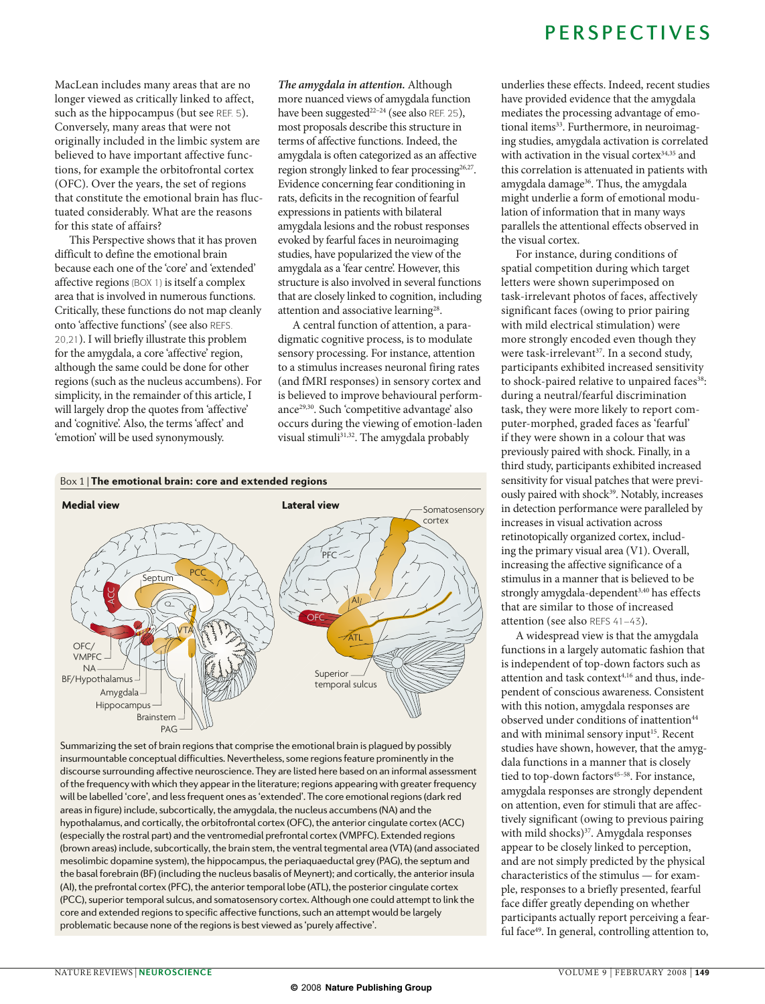MacLean includes many areas that are no longer viewed as critically linked to affect, such as the hippocampus (but see REF. 5). Conversely, many areas that were not originally included in the limbic system are believed to have important affective functions, for example the orbitofrontal cortex (OFC). Over the years, the set of regions that constitute the emotional brain has fluctuated considerably. What are the reasons for this state of affairs?

This Perspective shows that it has proven difficult to define the emotional brain because each one of the 'core' and 'extended' affective regions (BOX 1) is itself a complex area that is involved in numerous functions. Critically, these functions do not map cleanly onto 'affective functions' (see also refs. 20,21). I will briefly illustrate this problem for the amygdala, a core 'affective' region, although the same could be done for other regions (such as the nucleus accumbens). For simplicity, in the remainder of this article, I will largely drop the quotes from 'affective' and 'cognitive'. Also, the terms 'affect' and 'emotion' will be used synonymously.

*The amygdala in attention.* Although more nuanced views of amygdala function have been suggested<sup>22-24</sup> (see also REF. 25), most proposals describe this structure in terms of affective functions. Indeed, the amygdala is often categorized as an affective region strongly linked to fear processing<sup>26,27</sup>. Evidence concerning fear conditioning in rats, deficits in the recognition of fearful expressions in patients with bilateral amygdala lesions and the robust responses evoked by fearful faces in neuroimaging studies, have popularized the view of the amygdala as a 'fear centre'. However, this structure is also involved in several functions that are closely linked to cognition, including attention and associative learning28.

A central function of attention, a paradigmatic cognitive process, is to modulate sensory processing. For instance, attention to a stimulus increases neuronal firing rates (and fMRI responses) in sensory cortex and is believed to improve behavioural performance29,30. Such 'competitive advantage' also occurs during the viewing of emotion-laden visual stimuli<sup>31,32</sup>. The amygdala probably



**Nature Reviews** | **Neuroscience** insurmountable conceptual difficulties. Nevertheless, some regions feature prominently in the Summarizing the set of brain regions that comprise the emotional brain is plagued by possibly discourse surrounding affective neuroscience. They are listed here based on an informal assessment of the frequency with which they appear in the literature; regions appearing with greater frequency will be labelled 'core', and less frequent ones as 'extended'. The core emotional regions (dark red areas in figure) include, subcortically, the amygdala, the nucleus accumbens (NA) and the hypothalamus, and cortically, the orbitofrontal cortex (OFC), the anterior cingulate cortex (ACC) (especially the rostral part) and the ventromedial prefrontal cortex (VMPFC). Extended regions (brown areas) include, subcortically, the brain stem, the ventral tegmental area (VTA) (and associated mesolimbic dopamine system), the hippocampus, the periaquaeductal grey (PAG), the septum and the basal forebrain (BF) (including the nucleus basalis of Meynert); and cortically, the anterior insula (AI), the prefrontal cortex (PFC), the anterior temporal lobe (ATL), the posterior cingulate cortex (PCC), superior temporal sulcus, and somatosensory cortex. Although one could attempt to link the core and extended regions to specific affective functions, such an attempt would be largely problematic because none of the regions is best viewed as 'purely affective'.

underlies these effects. Indeed, recent studies have provided evidence that the amygdala mediates the processing advantage of emotional items<sup>33</sup>. Furthermore, in neuroimaging studies, amygdala activation is correlated with activation in the visual cortex<sup>34,35</sup> and this correlation is attenuated in patients with amygdala damage36. Thus, the amygdala might underlie a form of emotional modulation of information that in many ways parallels the attentional effects observed in the visual cortex.

For instance, during conditions of spatial competition during which target letters were shown superimposed on task-irrelevant photos of faces, affectively significant faces (owing to prior pairing with mild electrical stimulation) were more strongly encoded even though they were task-irrelevant<sup>37</sup>. In a second study, participants exhibited increased sensitivity to shock-paired relative to unpaired faces<sup>38</sup>: during a neutral/fearful discrimination task, they were more likely to report computer-morphed, graded faces as 'fearful' if they were shown in a colour that was previously paired with shock. Finally, in a third study, participants exhibited increased sensitivity for visual patches that were previously paired with shock<sup>39</sup>. Notably, increases in detection performance were paralleled by increases in visual activation across retinotopically organized cortex, including the primary visual area (V1). Overall, increasing the affective significance of a stimulus in a manner that is believed to be strongly amygdala-dependent<sup>3,40</sup> has effects that are similar to those of increased attention (see also REFS 41-43).

A widespread view is that the amygdala functions in a largely automatic fashion that is independent of top-down factors such as attention and task context<sup>4,16</sup> and thus, independent of conscious awareness. Consistent with this notion, amygdala responses are observed under conditions of inattention<sup>44</sup> and with minimal sensory input<sup>15</sup>. Recent studies have shown, however, that the amygdala functions in a manner that is closely tied to top-down factors<sup>45-58</sup>. For instance, amygdala responses are strongly dependent on attention, even for stimuli that are affectively significant (owing to previous pairing with mild shocks)<sup>37</sup>. Amygdala responses appear to be closely linked to perception, and are not simply predicted by the physical characteristics of the stimulus — for example, responses to a briefly presented, fearful face differ greatly depending on whether participants actually report perceiving a fearful face<sup>49</sup>. In general, controlling attention to,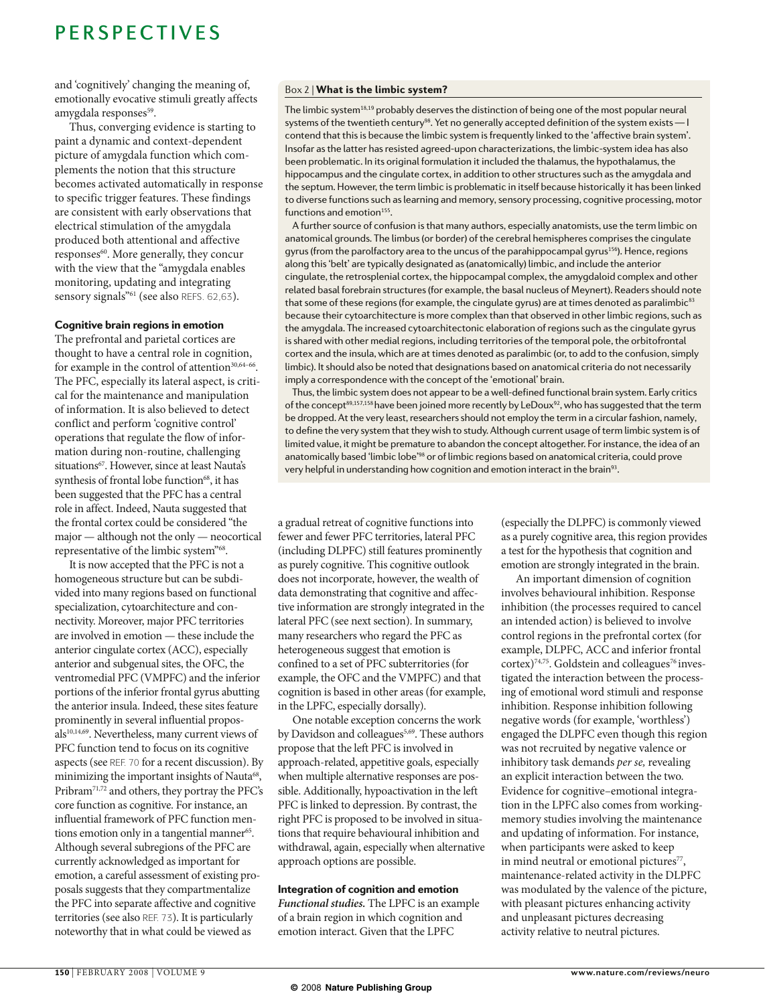and 'cognitively' changing the meaning of, emotionally evocative stimuli greatly affects amygdala responses<sup>59</sup>.

Thus, converging evidence is starting to paint a dynamic and context-dependent picture of amygdala function which complements the notion that this structure becomes activated automatically in response to specific trigger features. These findings are consistent with early observations that electrical stimulation of the amygdala produced both attentional and affective responses<sup>60</sup>. More generally, they concur with the view that the "amygdala enables monitoring, updating and integrating sensory signals<sup>"61</sup> (see also REFS. 62,63).

#### Cognitive brain regions in emotion

The prefrontal and parietal cortices are thought to have a central role in cognition, for example in the control of attention $30,64-66$ . The PFC, especially its lateral aspect, is critical for the maintenance and manipulation of information. It is also believed to detect conflict and perform 'cognitive control' operations that regulate the flow of information during non-routine, challenging situations<sup>67</sup>. However, since at least Nauta's synthesis of frontal lobe function<sup>68</sup>, it has been suggested that the PFC has a central role in affect. Indeed, Nauta suggested that the frontal cortex could be considered "the major — although not the only — neocortical representative of the limbic system"68.

It is now accepted that the PFC is not a homogeneous structure but can be subdivided into many regions based on functional specialization, cytoarchitecture and connectivity. Moreover, major PFC territories are involved in emotion — these include the anterior cingulate cortex (ACC), especially anterior and subgenual sites, the OFC, the ventromedial PFC (VMPFC) and the inferior portions of the inferior frontal gyrus abutting the anterior insula. Indeed, these sites feature prominently in several influential proposals<sup>10,14,69</sup>. Nevertheless, many current views of PFC function tend to focus on its cognitive aspects (see REF. 70 for a recent discussion). By minimizing the important insights of Nauta<sup>68</sup>, Pribram71,72 and others, they portray the PFC's core function as cognitive. For instance, an influential framework of PFC function mentions emotion only in a tangential manner<sup>65</sup>. Although several subregions of the PFC are currently acknowledged as important for emotion, a careful assessment of existing proposals suggests that they compartmentalize the PFC into separate affective and cognitive territories (see also REF. 73). It is particularly noteworthy that in what could be viewed as

### Box 2 | What is the limbic system?

The limbic system<sup>18,19</sup> probably deserves the distinction of being one of the most popular neural systems of the twentieth century<sup>98</sup>. Yet no generally accepted definition of the system exists  $-1$ contend that this is because the limbic system is frequently linked to the 'affective brain system'. Insofar as the latter has resisted agreed-upon characterizations, the limbic-system idea has also been problematic. In its original formulation it included the thalamus, the hypothalamus, the hippocampus and the cingulate cortex, in addition to other structures such as the amygdala and the septum. However, the term limbic is problematic in itself because historically it has been linked to diverse functions such as learning and memory, sensory processing, cognitive processing, motor functions and emotion<sup>155</sup>.

A further source of confusion is that many authors, especially anatomists, use the term limbic on anatomical grounds. The limbus (or border) of the cerebral hemispheres comprises the cingulate gyrus (from the parolfactory area to the uncus of the parahippocampal gyrus<sup>156</sup>). Hence, regions along this 'belt' are typically designated as (anatomically) limbic, and include the anterior cingulate, the retrosplenial cortex, the hippocampal complex, the amygdaloid complex and other related basal forebrain structures (for example, the basal nucleus of Meynert). Readers should note that some of these regions (for example, the cingulate gyrus) are at times denoted as paralimbic<sup>83</sup> because their cytoarchitecture is more complex than that observed in other limbic regions, such as the amygdala. The increased cytoarchitectonic elaboration of regions such as the cingulate gyrus is shared with other medial regions, including territories of the temporal pole, the orbitofrontal cortex and the insula, which are at times denoted as paralimbic (or, to add to the confusion, simply limbic). It should also be noted that designations based on anatomical criteria do not necessarily imply a correspondence with the concept of the 'emotional' brain.

Thus, the limbic system does not appear to be a well-defined functional brain system. Early critics of the concept<sup>89,157,158</sup> have been joined more recently by LeDoux<sup>92</sup>, who has suggested that the term be dropped. At the very least, researchers should not employ the term in a circular fashion, namely, to define the very system that they wish to study. Although current usage of term limbic system is of limited value, it might be premature to abandon the concept altogether. For instance, the idea of an anatomically based 'limbic lobe'98 or of limbic regions based on anatomical criteria, could prove very helpful in understanding how cognition and emotion interact in the brain<sup>93</sup>.

a gradual retreat of cognitive functions into fewer and fewer PFC territories, lateral PFC (including DLPFC) still features prominently as purely cognitive. This cognitive outlook does not incorporate, however, the wealth of data demonstrating that cognitive and affective information are strongly integrated in the lateral PFC (see next section). In summary, many researchers who regard the PFC as heterogeneous suggest that emotion is confined to a set of PFC subterritories (for example, the OFC and the VMPFC) and that cognition is based in other areas (for example, in the LPFC, especially dorsally).

One notable exception concerns the work by Davidson and colleagues<sup>5,69</sup>. These authors propose that the left PFC is involved in approach-related, appetitive goals, especially when multiple alternative responses are possible. Additionally, hypoactivation in the left PFC is linked to depression. By contrast, the right PFC is proposed to be involved in situations that require behavioural inhibition and withdrawal, again, especially when alternative approach options are possible.

#### Integration of cognition and emotion

*Functional studies.* The LPFC is an example of a brain region in which cognition and emotion interact. Given that the LPFC

(especially the DLPFC) is commonly viewed as a purely cognitive area, this region provides a test for the hypothesis that cognition and emotion are strongly integrated in the brain.

An important dimension of cognition involves behavioural inhibition. Response inhibition (the processes required to cancel an intended action) is believed to involve control regions in the prefrontal cortex (for example, DLPFC, ACC and inferior frontal cortex)<sup>74,75</sup>. Goldstein and colleagues<sup>76</sup> investigated the interaction between the processing of emotional word stimuli and response inhibition. Response inhibition following negative words (for example, 'worthless') engaged the DLPFC even though this region was not recruited by negative valence or inhibitory task demands *per se,* revealing an explicit interaction between the two. Evidence for cognitive–emotional integration in the LPFC also comes from workingmemory studies involving the maintenance and updating of information. For instance, when participants were asked to keep in mind neutral or emotional pictures<sup>77</sup>, maintenance-related activity in the DLPFC was modulated by the valence of the picture, with pleasant pictures enhancing activity and unpleasant pictures decreasing activity relative to neutral pictures.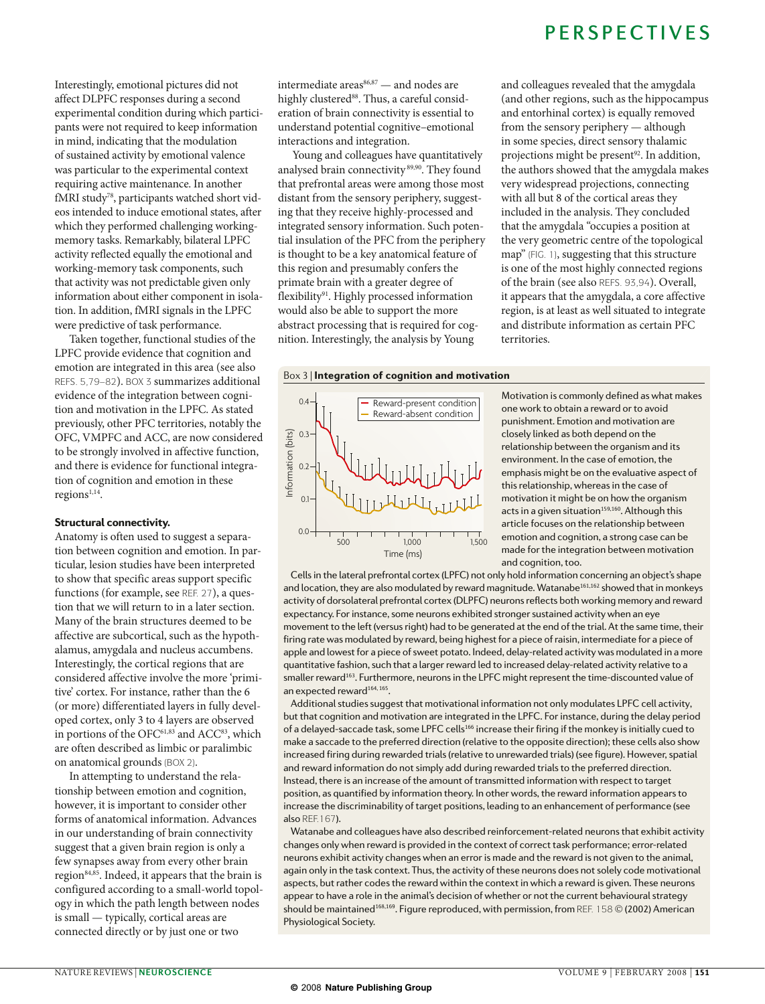Interestingly, emotional pictures did not affect DLPFC responses during a second experimental condition during which participants were not required to keep information in mind, indicating that the modulation of sustained activity by emotional valence was particular to the experimental context requiring active maintenance. In another fMRI study78, participants watched short videos intended to induce emotional states, after which they performed challenging workingmemory tasks. Remarkably, bilateral LPFC activity reflected equally the emotional and working-memory task components, such that activity was not predictable given only information about either component in isolation. In addition, fMRI signals in the LPFC were predictive of task performance.

Taken together, functional studies of the LPFC provide evidence that cognition and emotion are integrated in this area (see also refs. 5,79–82). BOX 3 summarizes additional evidence of the integration between cognition and motivation in the LPFC. As stated previously, other PFC territories, notably the OFC, VMPFC and ACC, are now considered to be strongly involved in affective function, and there is evidence for functional integration of cognition and emotion in these regions<sup>1,14</sup>.

#### Structural connectivity.

Anatomy is often used to suggest a separation between cognition and emotion. In particular, lesion studies have been interpreted to show that specific areas support specific functions (for example, see ref. 27), a question that we will return to in a later section. Many of the brain structures deemed to be affective are subcortical, such as the hypothalamus, amygdala and nucleus accumbens. Interestingly, the cortical regions that are considered affective involve the more 'primitive' cortex. For instance, rather than the 6 (or more) differentiated layers in fully developed cortex, only 3 to 4 layers are observed in portions of the OFC<sup>61,83</sup> and ACC<sup>83</sup>, which are often described as limbic or paralimbic on anatomical grounds (BOX 2).

In attempting to understand the relationship between emotion and cognition, however, it is important to consider other forms of anatomical information. Advances in our understanding of brain connectivity suggest that a given brain region is only a few synapses away from every other brain region<sup>84,85</sup>. Indeed, it appears that the brain is configured according to a small-world topology in which the path length between nodes is small — typically, cortical areas are connected directly or by just one or two

intermediate areas $86,87$  — and nodes are highly clustered<sup>88</sup>. Thus, a careful consideration of brain connectivity is essential to understand potential cognitive–emotional interactions and integration.

Young and colleagues have quantitatively analysed brain connectivity 89,90. They found that prefrontal areas were among those most distant from the sensory periphery, suggesting that they receive highly-processed and integrated sensory information. Such potential insulation of the PFC from the periphery is thought to be a key anatomical feature of this region and presumably confers the primate brain with a greater degree of flexibility<sup>91</sup>. Highly processed information would also be able to support the more abstract processing that is required for cognition. Interestingly, the analysis by Young

Box 3 | Integration of cognition and motivation



and colleagues revealed that the amygdala (and other regions, such as the hippocampus and entorhinal cortex) is equally removed from the sensory periphery — although in some species, direct sensory thalamic projections might be present $92$ . In addition, the authors showed that the amygdala makes very widespread projections, connecting with all but 8 of the cortical areas they included in the analysis. They concluded that the amygdala "occupies a position at the very geometric centre of the topological map" (FIG. 1), suggesting that this structure is one of the most highly connected regions of the brain (see also refs. 93,94). Overall, it appears that the amygdala, a core affective region, is at least as well situated to integrate and distribute information as certain PFC territories.

Motivation is commonly defined as what makes one work to obtain a reward or to avoid punishment. Emotion and motivation are closely linked as both depend on the relationship between the organism and its environment. In the case of emotion, the emphasis might be on the evaluative aspect of this relationship, whereas in the case of motivation it might be on how the organism acts in a given situation<sup>159,160</sup>. Although this article focuses on the relationship between emotion and cognition, a strong case can be made for the integration between motivation and cognition, too.

Lation, they are also modulated by reward magnitude. Watanabe<sup>161,162</sup> showed that in monkeys<br>and location, they are also modulated by reward magnitude. Watanabe<sup>161,162</sup> showed that in monkeys Cells in the lateral prefrontal cortex (LPFC) not only hold information concerning an object's shape activity of dorsolateral prefrontal cortex (DLPFC) neurons reflects both working memory and reward expectancy. For instance, some neurons exhibited stronger sustained activity when an eye movement to the left (versus right) had to be generated at the end of the trial. At the same time, their firing rate was modulated by reward, being highest for a piece of raisin, intermediate for a piece of apple and lowest for a piece of sweet potato. Indeed, delay-related activity was modulated in a more quantitative fashion, such that a larger reward led to increased delay-related activity relative to a smaller reward<sup>163</sup>. Furthermore, neurons in the LPFC might represent the time-discounted value of an expected reward<sup>164, 165</sup>.

Additional studies suggest that motivational information not only modulates LPFC cell activity, but that cognition and motivation are integrated in the LPFC. For instance, during the delay period of a delayed-saccade task, some LPFC cells<sup>166</sup> increase their firing if the monkey is initially cued to make a saccade to the preferred direction (relative to the opposite direction); these cells also show increased firing during rewarded trials (relative to unrewarded trials) (see figure). However, spatial and reward information do not simply add during rewarded trials to the preferred direction. Instead, there is an increase of the amount of transmitted information with respect to target position, as quantified by information theory. In other words, the reward information appears to increase the discriminability of target positions, leading to an enhancement of performance (see also REF.167).

Watanabe and colleagues have also described reinforcement-related neurons that exhibit activity changes only when reward is provided in the context of correct task performance; error-related neurons exhibit activity changes when an error is made and the reward is not given to the animal, again only in the task context. Thus, the activity of these neurons does not solely code motivational aspects, but rather codes the reward within the context in which a reward is given. These neurons appear to have a role in the animal's decision of whether or not the current behavioural strategy should be maintained<sup>168,169</sup>. Figure reproduced, with permission, from REF. 158 © (2002) American Physiological Society.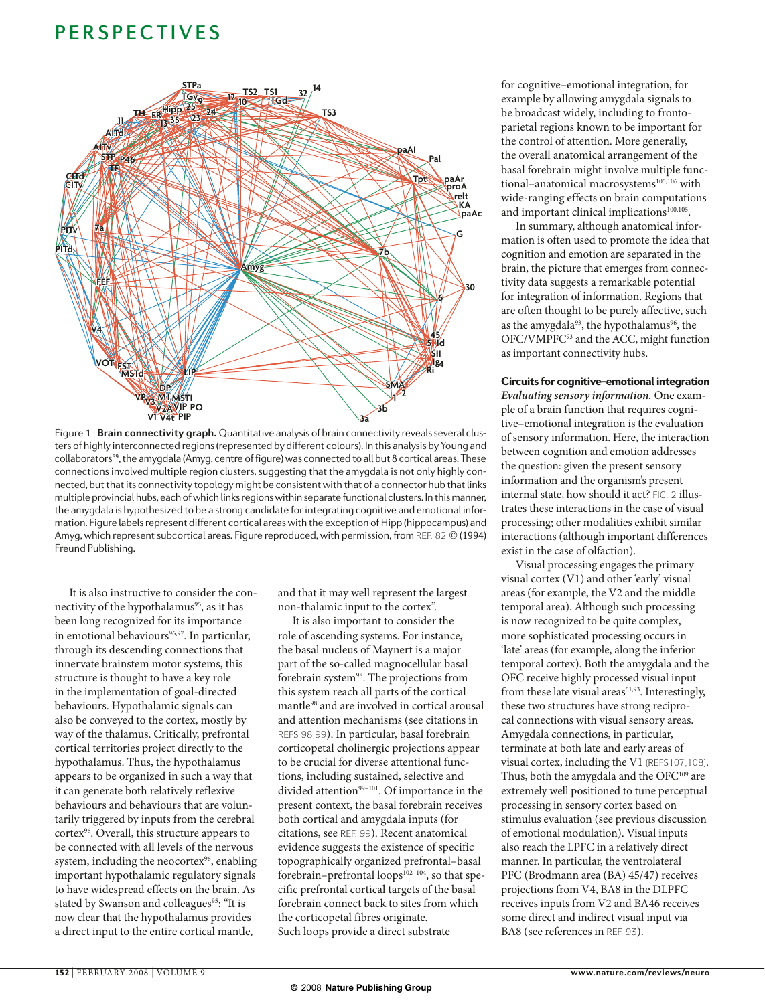

Figure 1 | **Brain connectivity graph.** Quantitative analysis of brain connectivity reveals several clusters of highly interconnected regions (represented by different colours). In this analysis by Young and collaborators<sup>89</sup>, the amygdala (Amyg, centre of figure) was connected to all but 8 cortical areas. These connections involved multiple region clusters, suggesting that the amygdala is not only highly connected, but that its connectivity topology might be consistent with that of a connector hub that links multiple provincial hubs, each of which links regions within separate functional clusters. In this manner, the amygdala is hypothesized to be a strong candidate for integrating cognitive and emotional information. Figure labels represent different cortical areas with the exception of Hipp (hippocampus) and Amyg, which represent subcortical areas. Figure reproduced, with permission, from REF. 82 © (1994) Freund Publishing.

It is also instructive to consider the connectivity of the hypothalamus<sup>95</sup>, as it has been long recognized for its importance in emotional behaviours<sup>96,97</sup>. In particular, through its descending connections that innervate brainstem motor systems, this structure is thought to have a key role in the implementation of goal-directed behaviours. Hypothalamic signals can also be conveyed to the cortex, mostly by way of the thalamus. Critically, prefrontal cortical territories project directly to the hypothalamus. Thus, the hypothalamus appears to be organized in such a way that it can generate both relatively reflexive behaviours and behaviours that are voluntarily triggered by inputs from the cerebral cortex<sup>96</sup>. Overall, this structure appears to be connected with all levels of the nervous system, including the neocortex<sup>96</sup>, enabling important hypothalamic regulatory signals to have widespread effects on the brain. As stated by Swanson and colleagues<sup>95</sup>: "It is now clear that the hypothalamus provides a direct input to the entire cortical mantle,

and that it may well represent the largest non-thalamic input to the cortex".

It is also important to consider the role of ascending systems. For instance, the basal nucleus of Maynert is a major part of the so-called magnocellular basal forebrain system98. The projections from this system reach all parts of the cortical mantle98 and are involved in cortical arousal and attention mechanisms (see citations in refs 98,99). In particular, basal forebrain corticopetal cholinergic projections appear to be crucial for diverse attentional functions, including sustained, selective and divided attention<sup>99-101</sup>. Of importance in the present context, the basal forebrain receives both cortical and amygdala inputs (for citations, see ref. 99). Recent anatomical evidence suggests the existence of specific topographically organized prefrontal–basal forebrain-prefrontal loops<sup>102-104</sup>, so that specific prefrontal cortical targets of the basal forebrain connect back to sites from which the corticopetal fibres originate. Such loops provide a direct substrate

for cognitive–emotional integration, for example by allowing amygdala signals to be broadcast widely, including to frontoparietal regions known to be important for the control of attention. More generally, the overall anatomical arrangement of the basal forebrain might involve multiple functional-anatomical macrosystems<sup>105,106</sup> with wide-ranging effects on brain computations and important clinical implications<sup>100,105</sup>.

In summary, although anatomical information is often used to promote the idea that cognition and emotion are separated in the brain, the picture that emerges from connectivity data suggests a remarkable potential for integration of information. Regions that are often thought to be purely affective, such as the amygdala<sup>93</sup>, the hypothalamus<sup>96</sup>, the OFC/VMPFC93 and the ACC, might function as important connectivity hubs.

#### Circuits for cognitive–emotional integration

*Evaluating sensory information.* One example of a brain function that requires cognitive–emotional integration is the evaluation of sensory information. Here, the interaction between cognition and emotion addresses the question: given the present sensory information and the organism's present internal state, how should it act? FIG. 2 illustrates these interactions in the case of visual processing; other modalities exhibit similar interactions (although important differences exist in the case of olfaction).

Visual processing engages the primary visual cortex (V1) and other 'early' visual areas (for example, the V2 and the middle temporal area). Although such processing is now recognized to be quite complex, more sophisticated processing occurs in 'late' areas (for example, along the inferior temporal cortex). Both the amygdala and the OFC receive highly processed visual input from these late visual areas $61,93$ . Interestingly, these two structures have strong reciprocal connections with visual sensory areas. Amygdala connections, in particular, terminate at both late and early areas of visual cortex, including the V1 (REFS107,108). Thus, both the amygdala and the OFC<sup>109</sup> are extremely well positioned to tune perceptual processing in sensory cortex based on stimulus evaluation (see previous discussion of emotional modulation). Visual inputs also reach the LPFC in a relatively direct manner. In particular, the ventrolateral PFC (Brodmann area (BA) 45/47) receives projections from V4, BA8 in the DLPFC receives inputs from V2 and BA46 receives some direct and indirect visual input via BA8 (see references in REF. 93).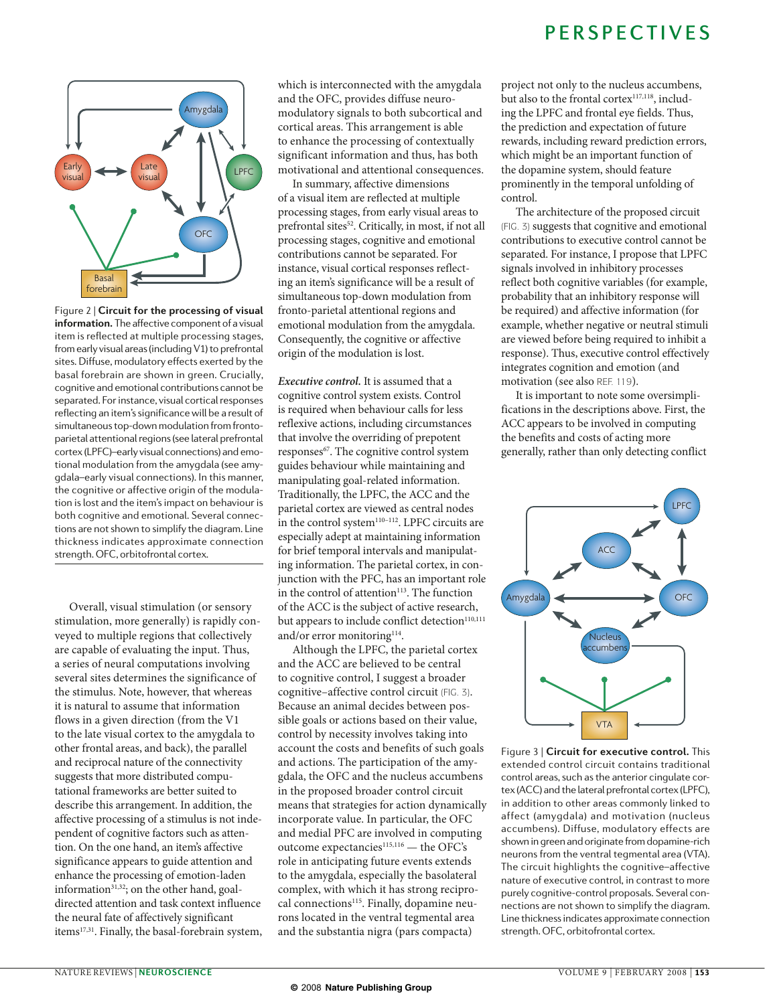

**information.** The affective component of a visual Figure 2 | **Circuit for the processing of visual**  item is reflected at multiple processing stages, from early visual areas (including V1) to prefrontal sites. Diffuse, modulatory effects exerted by the basal forebrain are shown in green. Crucially, cognitive and emotional contributions cannot be separated. For instance, visual cortical responses reflecting an item's significance will be a result of simultaneous top-down modulation from frontoparietal attentional regions (see lateral prefrontal cortex (LPFC)–early visual connections) and emotional modulation from the amygdala (see amygdala–early visual connections). In this manner, the cognitive or affective origin of the modulation is lost and the item's impact on behaviour is both cognitive and emotional. Several connections are not shown to simplify the diagram. Line thickness indicates approximate connection strength. OFC, orbitofrontal cortex.

Overall, visual stimulation (or sensory stimulation, more generally) is rapidly conveyed to multiple regions that collectively are capable of evaluating the input. Thus, a series of neural computations involving several sites determines the significance of the stimulus. Note, however, that whereas it is natural to assume that information flows in a given direction (from the V1 to the late visual cortex to the amygdala to other frontal areas, and back), the parallel and reciprocal nature of the connectivity suggests that more distributed computational frameworks are better suited to describe this arrangement. In addition, the affective processing of a stimulus is not independent of cognitive factors such as attention. On the one hand, an item's affective significance appears to guide attention and enhance the processing of emotion-laden information $31,32$ ; on the other hand, goaldirected attention and task context influence the neural fate of affectively significant items<sup>17,31</sup>. Finally, the basal-forebrain system, which is interconnected with the amygdala and the OFC, provides diffuse neuromodulatory signals to both subcortical and cortical areas. This arrangement is able to enhance the processing of contextually significant information and thus, has both motivational and attentional consequences.

In summary, affective dimensions of a visual item are reflected at multiple processing stages, from early visual areas to prefrontal sites<sup>52</sup>. Critically, in most, if not all processing stages, cognitive and emotional contributions cannot be separated. For instance, visual cortical responses reflecting an item's significance will be a result of simultaneous top-down modulation from fronto-parietal attentional regions and emotional modulation from the amygdala. Consequently, the cognitive or affective origin of the modulation is lost.

*Executive control.* It is assumed that a cognitive control system exists. Control is required when behaviour calls for less reflexive actions, including circumstances that involve the overriding of prepotent responses<sup>67</sup>. The cognitive control system guides behaviour while maintaining and manipulating goal-related information. Traditionally, the LPFC, the ACC and the parietal cortex are viewed as central nodes in the control system<sup>110–112</sup>. LPFC circuits are especially adept at maintaining information for brief temporal intervals and manipulating information. The parietal cortex, in conjunction with the PFC, has an important role in the control of attention $113$ . The function of the ACC is the subject of active research, but appears to include conflict detection<sup>110,111</sup> and/or error monitoring<sup>114</sup>.

Although the LPFC, the parietal cortex and the ACC are believed to be central to cognitive control, I suggest a broader cognitive–affective control circuit (FIG. 3). Because an animal decides between possible goals or actions based on their value, control by necessity involves taking into account the costs and benefits of such goals and actions. The participation of the amygdala, the OFC and the nucleus accumbens in the proposed broader control circuit means that strategies for action dynamically incorporate value. In particular, the OFC and medial PFC are involved in computing outcome expectancies<sup>115,116</sup> — the OFC's role in anticipating future events extends to the amygdala, especially the basolateral complex, with which it has strong reciprocal connections<sup>115</sup>. Finally, dopamine neurons located in the ventral tegmental area and the substantia nigra (pars compacta)

project not only to the nucleus accumbens, but also to the frontal cortex<sup>117,118</sup>, including the LPFC and frontal eye fields. Thus, the prediction and expectation of future rewards, including reward prediction errors, which might be an important function of the dopamine system, should feature prominently in the temporal unfolding of control.

The architecture of the proposed circuit (FIG. 3) suggests that cognitive and emotional contributions to executive control cannot be separated. For instance, I propose that LPFC signals involved in inhibitory processes reflect both cognitive variables (for example, probability that an inhibitory response will be required) and affective information (for example, whether negative or neutral stimuli are viewed before being required to inhibit a response). Thus, executive control effectively integrates cognition and emotion (and motivation (see also REF. 119).

It is important to note some oversimplifications in the descriptions above. First, the ACC appears to be involved in computing the benefits and costs of acting more generally, rather than only detecting conflict



control areas, such as the anterior cingulate cor-Figure 3 | **Circuit for executive control.** This extended control circuit contains traditional tex (ACC) and the lateral prefrontal cortex (LPFC), in addition to other areas commonly linked to affect (amygdala) and motivation (nucleus accumbens). Diffuse, modulatory effects are shown in green and originate from dopamine-rich neurons from the ventral tegmental area (VTA). The circuit highlights the cognitive–affective nature of executive control, in contrast to more purely cognitive-control proposals. Several connections are not shown to simplify the diagram. Line thickness indicates approximate connection strength. OFC, orbitofrontal cortex.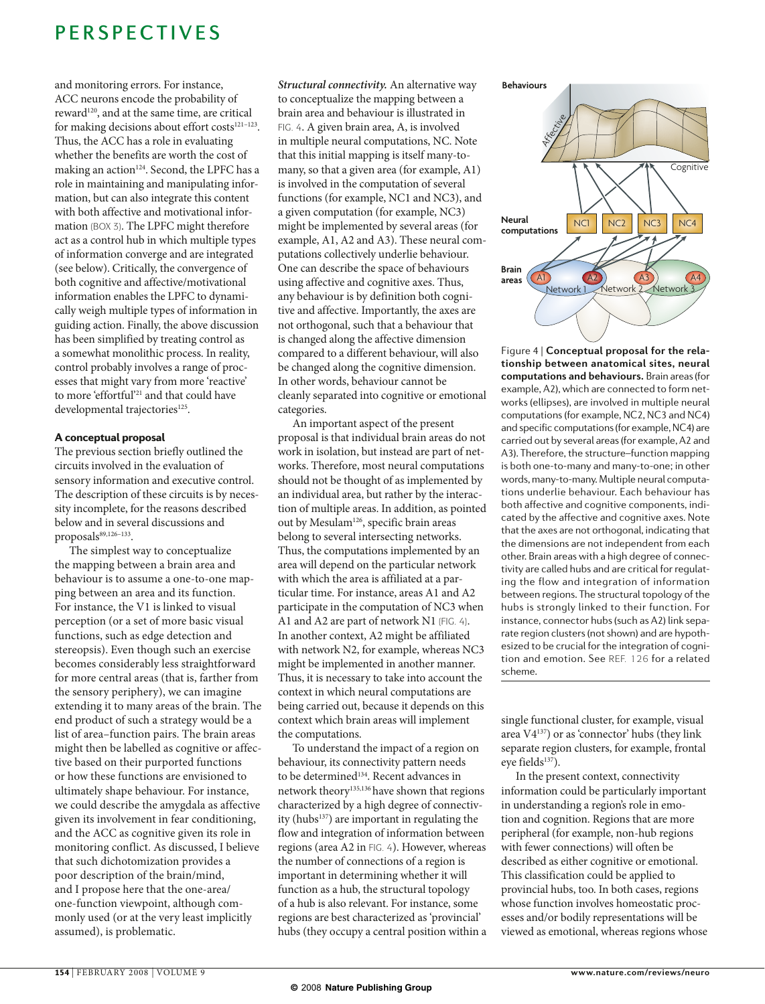and monitoring errors. For instance, ACC neurons encode the probability of reward<sup>120</sup>, and at the same time, are critical for making decisions about effort costs<sup>121-123</sup>. Thus, the ACC has a role in evaluating whether the benefits are worth the cost of making an action<sup>124</sup>. Second, the LPFC has a role in maintaining and manipulating information, but can also integrate this content with both affective and motivational information (BOX 3). The LPFC might therefore act as a control hub in which multiple types of information converge and are integrated (see below). Critically, the convergence of both cognitive and affective/motivational information enables the LPFC to dynamically weigh multiple types of information in guiding action. Finally, the above discussion has been simplified by treating control as a somewhat monolithic process. In reality, control probably involves a range of processes that might vary from more 'reactive' to more 'effortful'21 and that could have developmental trajectories<sup>125</sup>.

#### A conceptual proposal

The previous section briefly outlined the circuits involved in the evaluation of sensory information and executive control. The description of these circuits is by necessity incomplete, for the reasons described below and in several discussions and proposals<sup>89,126-133</sup>.

The simplest way to conceptualize the mapping between a brain area and behaviour is to assume a one-to-one mapping between an area and its function. For instance, the V1 is linked to visual perception (or a set of more basic visual functions, such as edge detection and stereopsis). Even though such an exercise becomes considerably less straightforward for more central areas (that is, farther from the sensory periphery), we can imagine extending it to many areas of the brain. The end product of such a strategy would be a list of area–function pairs. The brain areas might then be labelled as cognitive or affective based on their purported functions or how these functions are envisioned to ultimately shape behaviour. For instance, we could describe the amygdala as affective given its involvement in fear conditioning, and the ACC as cognitive given its role in monitoring conflict. As discussed, I believe that such dichotomization provides a poor description of the brain/mind, and I propose here that the one-area/ one-function viewpoint, although commonly used (or at the very least implicitly assumed), is problematic.

*Structural connectivity.* An alternative way to conceptualize the mapping between a brain area and behaviour is illustrated in FIG. 4. A given brain area, A, is involved in multiple neural computations, NC. Note that this initial mapping is itself many-tomany, so that a given area (for example, A1) is involved in the computation of several functions (for example, NC1 and NC3), and a given computation (for example, NC3) might be implemented by several areas (for example, A1, A2 and A3). These neural computations collectively underlie behaviour. One can describe the space of behaviours using affective and cognitive axes. Thus, any behaviour is by definition both cognitive and affective. Importantly, the axes are not orthogonal, such that a behaviour that is changed along the affective dimension compared to a different behaviour, will also be changed along the cognitive dimension. In other words, behaviour cannot be cleanly separated into cognitive or emotional categories.

An important aspect of the present proposal is that individual brain areas do not work in isolation, but instead are part of networks. Therefore, most neural computations should not be thought of as implemented by an individual area, but rather by the interaction of multiple areas. In addition, as pointed out by Mesulam126, specific brain areas belong to several intersecting networks. Thus, the computations implemented by an area will depend on the particular network with which the area is affiliated at a particular time. For instance, areas A1 and A2 participate in the computation of NC3 when A1 and A2 are part of network N1 (FIG. 4). In another context, A2 might be affiliated with network N2, for example, whereas NC3 might be implemented in another manner. Thus, it is necessary to take into account the context in which neural computations are being carried out, because it depends on this context which brain areas will implement the computations.

To understand the impact of a region on behaviour, its connectivity pattern needs to be determined134. Recent advances in network theory135,136 have shown that regions characterized by a high degree of connectivity (hubs<sup>137</sup>) are important in regulating the flow and integration of information between regions (area A2 in FIG. 4). However, whereas the number of connections of a region is important in determining whether it will function as a hub, the structural topology of a hub is also relevant. For instance, some regions are best characterized as 'provincial' hubs (they occupy a central position within a



**Nature Reviews** | **Neuroscience tionship between anatomical sites, neural**  Figure 4 | **Conceptual proposal for the relacomputations and behaviours.** Brain areas (for example, A2), which are connected to form networks (ellipses), are involved in multiple neural computations (for example, NC2, NC3 and NC4) and specific computations (for example, NC4) are carried out by several areas (for example, A2 and A3). Therefore, the structure–function mapping is both one-to-many and many-to-one; in other words, many-to-many. Multiple neural computations underlie behaviour. Each behaviour has both affective and cognitive components, indicated by the affective and cognitive axes. Note that the axes are not orthogonal, indicating that the dimensions are not independent from each other. Brain areas with a high degree of connectivity are called hubs and are critical for regulating the flow and integration of information between regions. The structural topology of the hubs is strongly linked to their function. For instance, connector hubs (such as A2) link separate region clusters (not shown) and are hypothesized to be crucial for the integration of cognition and emotion. See REF. 126 for a related scheme.

single functional cluster, for example, visual area V4137) or as 'connector' hubs (they link separate region clusters, for example, frontal eye fields<sup>137</sup>).

In the present context, connectivity information could be particularly important in understanding a region's role in emotion and cognition. Regions that are more peripheral (for example, non-hub regions with fewer connections) will often be described as either cognitive or emotional. This classification could be applied to provincial hubs, too. In both cases, regions whose function involves homeostatic processes and/or bodily representations will be viewed as emotional, whereas regions whose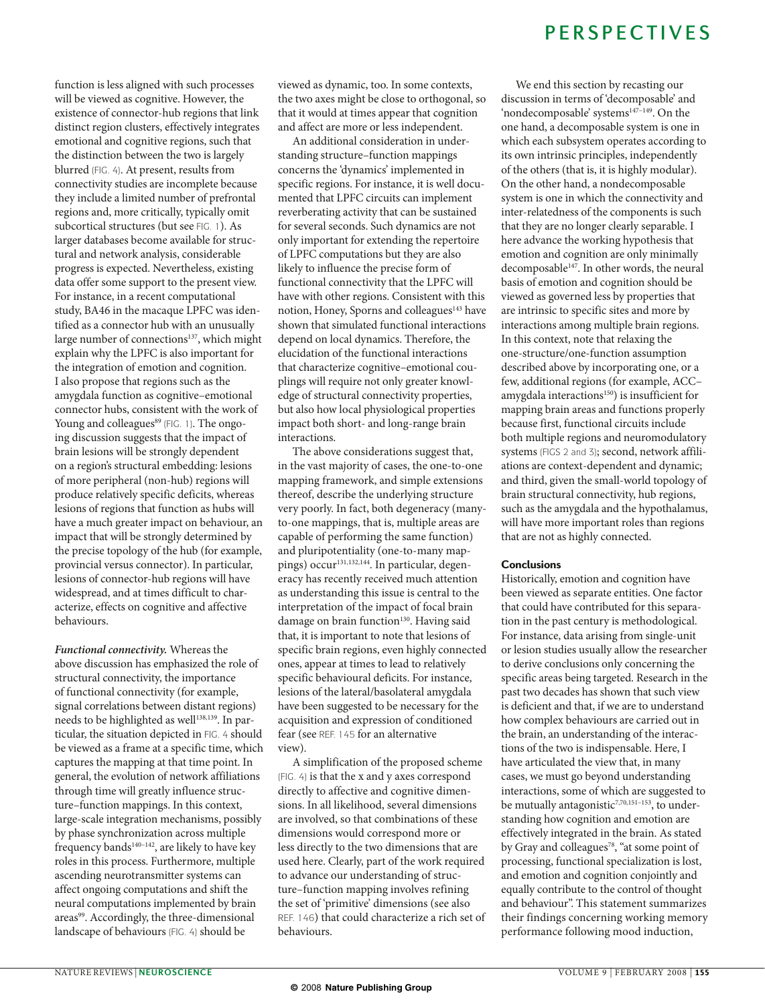function is less aligned with such processes will be viewed as cognitive. However, the existence of connector-hub regions that link distinct region clusters, effectively integrates emotional and cognitive regions, such that the distinction between the two is largely blurred (FIG. 4). At present, results from connectivity studies are incomplete because they include a limited number of prefrontal regions and, more critically, typically omit subcortical structures (but see FIG. 1). As larger databases become available for structural and network analysis, considerable progress is expected. Nevertheless, existing data offer some support to the present view. For instance, in a recent computational study, BA46 in the macaque LPFC was identified as a connector hub with an unusually large number of connections<sup>137</sup>, which might explain why the LPFC is also important for the integration of emotion and cognition. I also propose that regions such as the amygdala function as cognitive–emotional connector hubs, consistent with the work of Young and colleagues<sup>89</sup> (FIG. 1). The ongoing discussion suggests that the impact of brain lesions will be strongly dependent on a region's structural embedding: lesions of more peripheral (non-hub) regions will produce relatively specific deficits, whereas lesions of regions that function as hubs will have a much greater impact on behaviour, an impact that will be strongly determined by the precise topology of the hub (for example, provincial versus connector). In particular, lesions of connector-hub regions will have widespread, and at times difficult to characterize, effects on cognitive and affective behaviours.

*Functional connectivity.* Whereas the above discussion has emphasized the role of structural connectivity, the importance of functional connectivity (for example, signal correlations between distant regions) needs to be highlighted as well<sup>138,139</sup>. In particular, the situation depicted in FIG. 4 should be viewed as a frame at a specific time, which captures the mapping at that time point. In general, the evolution of network affiliations through time will greatly influence structure–function mappings. In this context, large-scale integration mechanisms, possibly by phase synchronization across multiple frequency bands<sup>140-142</sup>, are likely to have key roles in this process. Furthermore, multiple ascending neurotransmitter systems can affect ongoing computations and shift the neural computations implemented by brain areas<sup>99</sup>. Accordingly, the three-dimensional landscape of behaviours (FIG. 4) should be

viewed as dynamic, too. In some contexts, the two axes might be close to orthogonal, so that it would at times appear that cognition and affect are more or less independent.

An additional consideration in understanding structure–function mappings concerns the 'dynamics' implemented in specific regions. For instance, it is well documented that LPFC circuits can implement reverberating activity that can be sustained for several seconds. Such dynamics are not only important for extending the repertoire of LPFC computations but they are also likely to influence the precise form of functional connectivity that the LPFC will have with other regions. Consistent with this notion, Honey, Sporns and colleagues<sup>143</sup> have shown that simulated functional interactions depend on local dynamics. Therefore, the elucidation of the functional interactions that characterize cognitive–emotional couplings will require not only greater knowledge of structural connectivity properties, but also how local physiological properties impact both short- and long-range brain interactions.

The above considerations suggest that, in the vast majority of cases, the one-to-one mapping framework, and simple extensions thereof, describe the underlying structure very poorly. In fact, both degeneracy (manyto-one mappings, that is, multiple areas are capable of performing the same function) and pluripotentiality (one-to-many mappings) occur<sup>131,132,144</sup>. In particular, degeneracy has recently received much attention as understanding this issue is central to the interpretation of the impact of focal brain damage on brain function<sup>130</sup>. Having said that, it is important to note that lesions of specific brain regions, even highly connected ones, appear at times to lead to relatively specific behavioural deficits. For instance, lesions of the lateral/basolateral amygdala have been suggested to be necessary for the acquisition and expression of conditioned fear (see REF. 145 for an alternative view).

A simplification of the proposed scheme (FIG. 4) is that the x and y axes correspond directly to affective and cognitive dimensions. In all likelihood, several dimensions are involved, so that combinations of these dimensions would correspond more or less directly to the two dimensions that are used here. Clearly, part of the work required to advance our understanding of structure–function mapping involves refining the set of 'primitive' dimensions (see also REF. 146) that could characterize a rich set of behaviours.

We end this section by recasting our discussion in terms of 'decomposable' and 'nondecomposable' systems<sup>147–149</sup>. On the one hand, a decomposable system is one in which each subsystem operates according to its own intrinsic principles, independently of the others (that is, it is highly modular). On the other hand, a nondecomposable system is one in which the connectivity and inter-relatedness of the components is such that they are no longer clearly separable. I here advance the working hypothesis that emotion and cognition are only minimally decomposable<sup>147</sup>. In other words, the neural basis of emotion and cognition should be viewed as governed less by properties that are intrinsic to specific sites and more by interactions among multiple brain regions. In this context, note that relaxing the one-structure/one-function assumption described above by incorporating one, or a few, additional regions (for example, ACC– amygdala interactions<sup>150</sup>) is insufficient for mapping brain areas and functions properly because first, functional circuits include both multiple regions and neuromodulatory systems (FIGS 2 and 3); second, network affiliations are context-dependent and dynamic; and third, given the small-world topology of brain structural connectivity, hub regions, such as the amygdala and the hypothalamus, will have more important roles than regions that are not as highly connected.

#### **Conclusions**

Historically, emotion and cognition have been viewed as separate entities. One factor that could have contributed for this separation in the past century is methodological. For instance, data arising from single-unit or lesion studies usually allow the researcher to derive conclusions only concerning the specific areas being targeted. Research in the past two decades has shown that such view is deficient and that, if we are to understand how complex behaviours are carried out in the brain, an understanding of the interactions of the two is indispensable. Here, I have articulated the view that, in many cases, we must go beyond understanding interactions, some of which are suggested to be mutually antagonistic<sup>7,70,151-153</sup>, to understanding how cognition and emotion are effectively integrated in the brain. As stated by Gray and colleagues<sup>78</sup>, "at some point of processing, functional specialization is lost, and emotion and cognition conjointly and equally contribute to the control of thought and behaviour". This statement summarizes their findings concerning working memory performance following mood induction,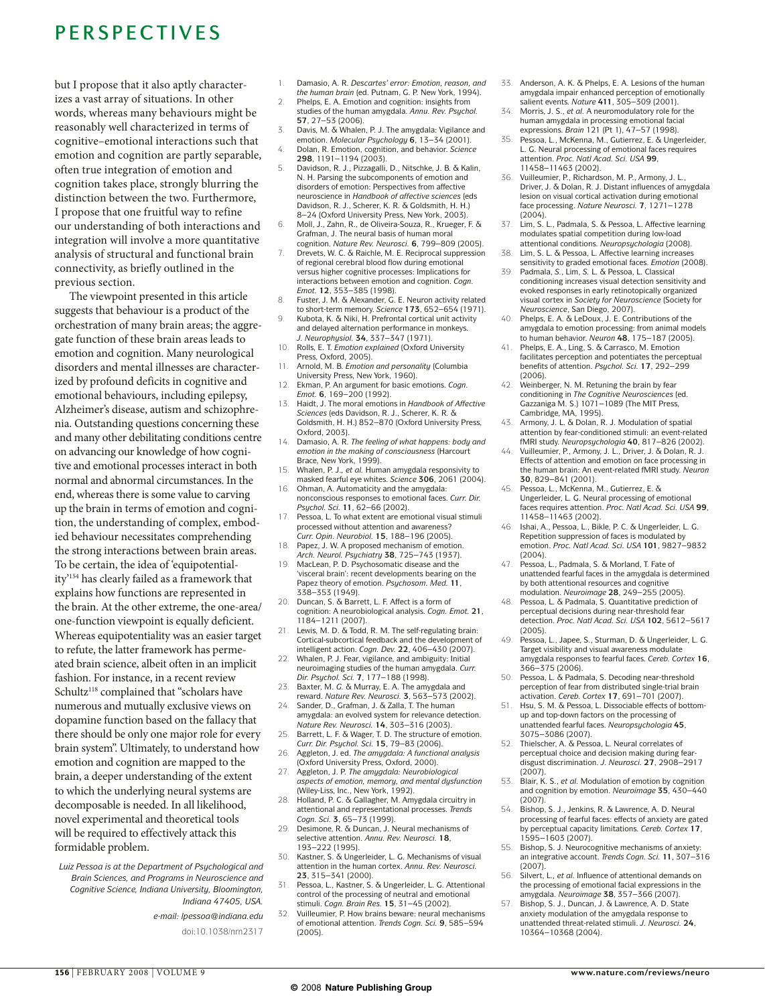but I propose that it also aptly characterizes a vast array of situations. In other words, whereas many behaviours might be reasonably well characterized in terms of cognitive–emotional interactions such that emotion and cognition are partly separable, often true integration of emotion and cognition takes place, strongly blurring the distinction between the two. Furthermore, I propose that one fruitful way to refine our understanding of both interactions and integration will involve a more quantitative analysis of structural and functional brain connectivity, as briefly outlined in the previous section.

The viewpoint presented in this article suggests that behaviour is a product of the orchestration of many brain areas; the aggregate function of these brain areas leads to emotion and cognition. Many neurological disorders and mental illnesses are characterized by profound deficits in cognitive and emotional behaviours, including epilepsy, Alzheimer's disease, autism and schizophrenia. Outstanding questions concerning these and many other debilitating conditions centre on advancing our knowledge of how cognitive and emotional processes interact in both normal and abnormal circumstances. In the end, whereas there is some value to carving up the brain in terms of emotion and cognition, the understanding of complex, embodied behaviour necessitates comprehending the strong interactions between brain areas. To be certain, the idea of 'equipotentiality'154 has clearly failed as a framework that explains how functions are represented in the brain. At the other extreme, the one-area/ one-function viewpoint is equally deficient. Whereas equipotentiality was an easier target to refute, the latter framework has permeated brain science, albeit often in an implicit fashion. For instance, in a recent review Schultz<sup>118</sup> complained that "scholars have numerous and mutually exclusive views on dopamine function based on the fallacy that there should be only one major role for every brain system". Ultimately, to understand how emotion and cognition are mapped to the brain, a deeper understanding of the extent to which the underlying neural systems are decomposable is needed. In all likelihood, novel experimental and theoretical tools will be required to effectively attack this formidable problem.

*Luiz Pessoa is at the Department of Psychological and Brain Sciences, and Programs in Neuroscience and Cognitive Science, Indiana University, Bloomington, Indiana 47405, USA.* 

> *e-mail: lpessoa@indiana.edu* doi:10.1038/nrn2317

- 1. Damasio, A. R. *Descartes' error: Emotion, reason, and*
- *the human brain* (ed. Putnam, G. P. New York, 1994). 2. Phelps, E. A. Emotion and cognition: insights from studies of the human amygdala. *Annu. Rev. Psychol.*
- **57**, 27–53 (2006). 3. Davis, M. & Whalen, P. J. The amygdala: Vigilance and emotion. *Molecular Psychology* **6**, 13–34 (2001).
- 4. Dolan, R. Emotion, cognition, and behavior. *Science*  **298**, 1191–1194 (2003).
- 5. Davidson, R. J*.*, Pizzagalli, D., Nitschke, J. B. & Kalin, N. H. Parsing the subcomponents of emotion and disorders of emotion: Perspectives from affective neuroscience in *Handbook of affective sciences* (eds Davidson, R. J., Scherer, K. R*.* & Goldsmith, H. H.) 8–24 (Oxford University Press, New York, 2003).
- 6. Moll, J., Zahn, R., de Oliveira-Souza, R., Krueger, F. & Grafman, J. The neural basis of human moral cognition. *Nature Rev. Neurosci.* **6**, 799–809 (2005).
- 7. Drevets, W. C. & Raichle, M. E. Reciprocal suppression of regional cerebral blood flow during emotional versus higher cognitive processes: Implications for interactions between emotion and cognition. *Cogn. Emot.* **12**, 353–385 (1998).
- 8. Fuster, J. M. & Alexander, G. E. Neuron activity related to short-term memory. *Science* **173**, 652–654 (1971).
- 9. Kubota, K. & Niki, H. Prefrontal cortical unit activity and delayed alternation performance in monkeys.
- *J. Neurophysiol.* **34**, 337–347 (1971). 10. Rolls, E. T. *Emotion explained* (Oxford University
- Press, Oxford, 2005). 11. Arnold, M. B. *Emotion and personality* (Columbia
- University Press, New York, 1960). 12. Ekman, P. An argument for basic emotions. *Cogn. Emot.* **6**, 169–200 (1992).
- 13. Haidt, J. The moral emotions in *Handbook of Affective Sciences* (eds Davidson, R. J., Scherer, K. R*.* & Goldsmith, H. H.) 852–870 (Oxford University Press, Oxford, 2003).
- 14. Damasio, A. R. *The feeling of what happens: body and emotion in the making of consciousness* (Harcourt Brace, New York, 1999).
- 15. Whalen, P. J.*, et al.* Human amygdala responsivity to masked fearful eye whites. *Science* **306**, 2061 (2004).
- Ohman, A. Automaticity and the amygdala nonconscious responses to emotional faces. *Curr. Dir. Psychol. Sci.* **11**, 62–66 (2002).
- 17. Pessoa, L. To what extent are emotional visual stimuli processed without attention and awareness? *Curr. Opin. Neurobiol.* **15**, 188–196 (2005).
- Papez, J. W. A proposed mechanism of emotion. *Arch. Neurol. Psychiatry* **38**, 725–743 (1937).
- 19. MacLean, P. D. Psychosomatic disease and the 'visceral brain': recent developments bearing on the Papez theory of emotion. *Psychosom. Med.* **11**, 338–353 (1949).
- 20. Duncan, S. & Barrett, L. F. Affect is a form of cognition: A neurobiological analysis. *Cogn. Emot.* **21**,
- 1184–1211 (2007). 21. Lewis, M. D. & Todd, R. M. The self-regulating brain: Cortical-subcortical feedback and the development of intelligent action. *Cogn. Dev.* **22**, 406–430 (2007).
- 22. Whalen, P. J. Fear, vigilance, and ambiguity: Initial neuroimaging studies of the human amygdala. *Curr. Dir. Psychol. Sci.* **7**, 177–188 (1998). 23. Baxter, M. *G.* & Murray, E. A. The amygdala and
- reward. *Nature Rev. Neurosci.* **3**, 563–573 (2002).
- 24. Sander, D., Grafman, J. & Zalla, T. The human amygdala: an evolved system for relevance detection. *Nature Rev. Neurosci.* **14**, 303–316 (2003).<br>25. Barrett, L. F. & Wager, T. D. The structure of emotion.
- *Curr. Dir. Psychol. Sci.* **15**, 79–83 (2006).
- 26. Aggleton, J. ed. *The amygdala: A functional analysis* (Oxford University Press, Oxford, 2000).
- 27. Aggleton, J. P. *The amygdala: Neurobiological aspects of emotion, memory, and mental dysfunction* (Wiley-Liss, Inc., New York, 1992).
- Holland, P. C. & Gallagher, M. Amygdala circuitry in attentional and representational processes. *Trends Cogn. Sci.* **3**, 65–73 (1999).
- 29. Desimone, R. & Duncan, J. Neural mechanisms of selective attention. *Annu. Rev. Neurosci.* **18**, 193–222 (1995).
- Kastner, S. & Ungerleider, L. G. Mechanisms of visual attention in the human cortex. *Annu. Rev. Neurosci.* **23**, 315–341 (2000).
- 31. Pessoa, L., Kastner, S. & Ungerleider, L. G. Attentional control of the processing of neutral and emotional stimuli. *Cogn. Brain Res.* **15**, 31–45 (2002).
- 32. Vuilleumier, P. How brains beware: neural mechanisms of emotional attention. *Trends Cogn. Sci.* **9**, 585–594 (2005).
- 33. Anderson, A. K. & Phelps, E. A. Lesions of the human amygdala impair enhanced perception of emotionally salient events. *Nature* **411**, 305–309 (2001).
- 34. Morris, J. S., *et al.* A neuromodulatory role for the human amygdala in processing emotional facial expressions. *Brain* 121 (Pt 1), 47–57 (1998).
- 35. Pessoa, L., McKenna, M., Gutierrez, E. & Ungerleider, L. G. Neural processing of emotional faces requires attention. *Proc. Natl Acad. Sci. USA* **99**, 11458–11463 (2002).
- 36. Vuilleumier, P., Richardson, M. P., Armony, J. L., Driver, J. & Dolan, R. J. Distant influences of amygdala lesion on visual cortical activation during emotional face processing. *Nature Neurosci.* **7**, 1271–1278 (2004).
- 37. Lim, S. L., Padmala, S. & Pessoa, L. Affective learning modulates spatial competition during low-load attentional conditions. *Neuropsychologia* (2008).
- 38. Lim, S. L. & Pessoa, L. Affective learning increases sensitivity to graded emotional faces. *Emotion* (2008).
- 39. Padmala, *S.*, Lim, *S.* L. & Pessoa, L. Classical conditioning increases visual detection sensitivity and evoked responses in early retinotopically organized visual cortex in *Society for Neuroscience* (Society for *Neuroscience*, San Diego, 2007).
- 40. Phelps, E. A. & LeDoux, J. E. Contributions of the amygdala to emotion processing: from animal models to human behavior. *Neuron* **48**, 175–187 (2005).
- 41. Phelps, E. A., Ling, S. & Carrasco, M. Emotion facilitates perception and potentiates the perceptual benefits of attention. *Psychol. Sci.* **17**, 292–299 (2006).
- 42. Weinberger, N. M. Retuning the brain by fear conditioning in *The Cognitive Neurosciences* (ed. Gazzaniga M. S.) 1071–1089 (The MIT Press, Cambridge, MA, 1995).
- 43. Armony, J. L. & Dolan, R. J. Modulation of spatial attention by fear-conditioned stimuli: an event-related fMRI study. *Neuropsychologia* **40**, 817–826 (2002).
- 44. Vuilleumier, P., Armony, J. L., Driver, J. & Dolan, R. J. Effects of attention and emotion on face processing in the human brain: An event-related fMRI study. *Neuron*  **30**, 829–841 (2001).
- Pessoa, L., McKenna, M., Gutierrez, E. & Ungerleider, L. G. Neural processing of emotional faces requires attention. *Proc. Natl Acad. Sci. USA* **99**, 11458–11463 (2002).
- 46. Ishai, A., Pessoa, L., Bikle, P. C. & Ungerleider, L. G. Repetition suppression of faces is modulated by emotion. *Proc. Natl Acad. Sci. USA* **101**, 9827–9832 (2004).
- 47. Pessoa, L., Padmala, S. & Morland, T. Fate of unattended fearful faces in the amygdala is determined by both attentional resources and cognitive modulation. *Neuroimage* **28**, 249–255 (2005).
- 48. Pessoa, L. & Padmala, S. Quantitative prediction of perceptual decisions during near-threshold fear detection. *Proc. Natl Acad. Sci. USA* **102**, 5612–5617 (2005).
- 49. Pessoa, L., Japee, S., Sturman, D. & Ungerleider, L. G. Target visibility and visual awareness modulate amygdala responses to fearful faces. *Cereb. Cortex* **16**, 366–375 (2006).
- 50. Pessoa, L. & Padmala, S. Decoding near-threshold perception of fear from distributed single-trial brain activation. *Cereb. Cortex* **17**, 691–701 (2007).
- Hsu, S. M. & Pessoa, L. Dissociable effects of bottomup and top-down factors on the processing of unattended fearful faces. *Neuropsychologia* **45**, 3075–3086 (2007).
- 52. Thielscher, A. & Pessoa, L. Neural correlates of perceptual choice and decision making during feardisgust discrimination. *J. Neurosci.* **27**, 2908–2917
- (2007). 53. Blair, K. S., *et al.* Modulation of emotion by cognition and cognition by emotion. *Neuroimage* **35**, 430–440 (2007).
- Bishop, S. J., Jenkins, R. & Lawrence, A. D. Neural processing of fearful faces: effects of anxiety are gated by perceptual capacity limitations. *Cereb. Cortex* **17**, 1595–1603 (2007).
- Bishop, S. J. Neurocognitive mechanisms of anxiety: an integrative account. *Trends Cogn. Sci.* **11**, 307–316 (2007).
- 56. Silvert, L.*, et al.* Influence of attentional demands on the processing of emotional facial expressions in the amygdala. *Neuroimage* **38**, 357–366 (2007).
- Bishop, S. J., Duncan, J. & Lawrence, A. D. State anxiety modulation of the amygdala response to unattended threat-related stimuli. *J. Neurosci.* **24**, 10364–10368 (2004).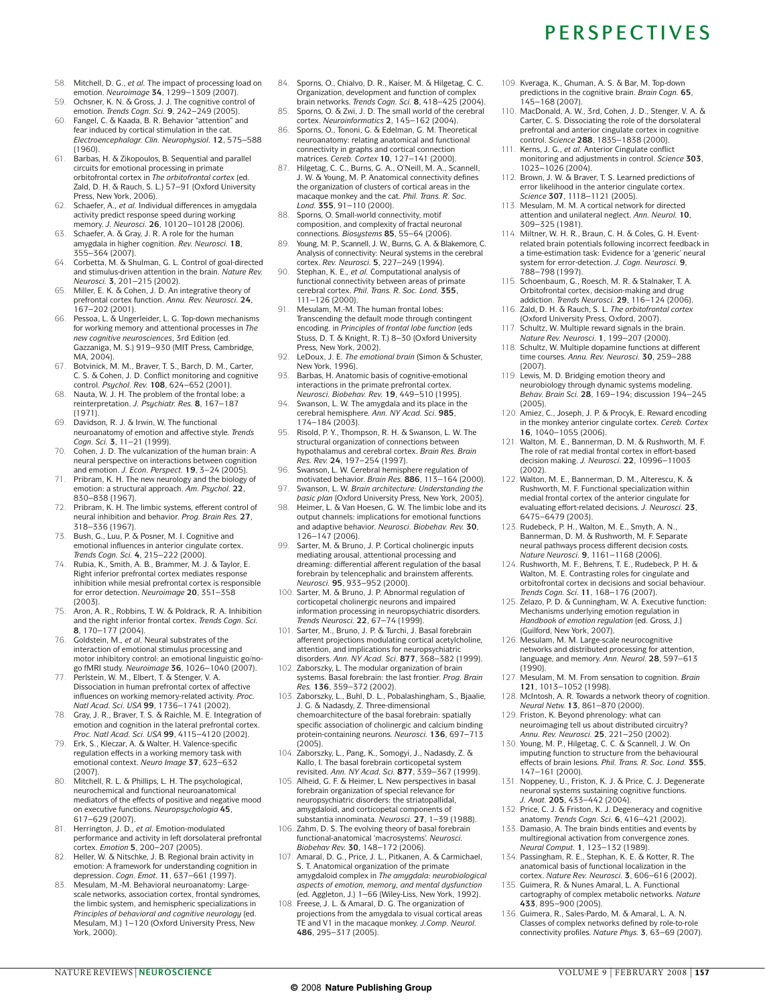- 58. Mitchell, D. G., *et al.* The impact of processing load on emotion. *Neuroimage* **34**, 1299–1309 (2007). 59. Ochsner, K. N. & Gross, J. J. The cognitive control of
- emotion. *Trends Cogn. Sci.* **9**, 242–249 (2005). 60. Fangel, C. & Kaada, B. R. Behavior "attention" and fear induced by cortical stimulation in the cat. *Electroencephalogr. Clin. Neurophysiol.* **12**, 575–588
- (1960). 61. Barbas, H. & Zikopoulos, B. Sequential and parallel circuits for emotional processing in primate orbitofrontal cortex in *The orbitofrontal cortex* (ed. Zald, D. H. & Rauch, S. L.) 57–91 (Oxford University Press, New York, 2006).
- 62. Schaefer, A.*, et al.* Individual differences in amygdala activity predict response speed during working memory. *J. Neurosci.* **26**, 10120–10128 (2006).
- 63. Schaefer, A. & Gray, J. R. A role for the human amygdala in higher cognition. *Rev. Neurosci.* **18**, 355–364 (2007).
- 64. Corbetta, M. & Shulman, G. L. Control of goal-directed and stimulus-driven attention in the brain. *Nature Rev. Neurosci.* **3**, 201–215 (2002).
- 65. Miller, E. K. & Cohen, J. D. An integrative theory of prefrontal cortex function. *Annu. Rev. Neurosci.* **24**, 167–202 (2001).
- 66. Pessoa, L. & Ungerleider, L. G. Top-down mechanisms for working memory and attentional processes in *The new cognitive neurosciences*, 3rd Edition (ed. Gazzaniga, M. S.) 919–930 (MIT Press, Cambridge, MA, 2004).
- 67. Botvinick, M. M., Braver, T. S., Barch, D. M., Carter, C. S. & Cohen, J. D. Conflict monitoring and cognitive control. *Psychol. Rev.* **108**, 624–652 (2001).
- 68. Nauta, W. J. H. The problem of the frontal lobe: a reinterpretation. *J. Psychiatr. Res.* **8**, 167–187 (1971).
- 69. Davidson*,* R. J. & Irwin, W. The functional neuroanatomy of emotion and affective style. *Trends Cogn. Sci.* **3**, 11–21 (1999).
- 70. Cohen, J. D. The vulcanization of the human brain: A neural perspective on interactions between cognition
- and emotion. *J. Econ. Perspect.* **19**, 3–24 (2005). 71. Pribram, K. H. The new neurology and the biology of emotion: a structural approach. *Am. Psychol.* **22**, 830–838 (1967).
- 72. Pribram, K. H. The limbic systems, efferent control of neural inhibition and behavior. *Prog. Brain Res.* **27**, 318–336 (1967).
- 73. Bush, G., Luu, P. & Posner, M. I. Cognitive and emotional influences in anterior cingulate cortex. *Trends Cogn. Sci.* **4**, 215–222 (2000).
- 74. Rubia, K., Smith, A. B., Brammer, M. J. & Taylor, E. Right inferior prefrontal cortex mediates response inhibition while mesial prefrontal cortex is responsible for error detection. *Neuroimage* **20**, 351–358 (2003).
- 75. Aron, A. R., Robbins, T. W. & Poldrack, R. A. Inhibition and the right inferior frontal cortex. *Trends Cogn. Sci.*  **8**, 170–177 (2004).
- 76. Goldstein, M.*, et al.* Neural substrates of the interaction of emotional stimulus processing and motor inhibitory control: an emotional linguistic go/nogo fMRI study. *Neuroimage* **36**, 1026–1040 (2007).
- 77. Perlstein, W. M., Elbert, T. & Stenger, V. A. Dissociation in human prefrontal cortex of affective influences on working memory-related activity. *Proc. Natl Acad. Sci. USA* **99**, 1736–1741 (2002).
- 78. Gray, J. R., Braver, T. S*.* & Raichle, M. E. Integration of emotion and cognition in the lateral prefrontal cortex. *Proc. Natl Acad. Sci. USA* **99**, 4115–4120 (2002).
- 79. Erk, S., Kleczar, A. & Walter, H. Valence-specific regulation effects in a working memory task with emotional context. *Neuro Image* **37**, 623–632  $(2007)$
- 80. Mitchell, R. L. & Phillips, L. H. The psychological, neurochemical and functional neuroanatomical mediators of the effects of positive and negative mood on executive functions. *Neuropsychologia* **45**, 617–629 (2007).
- 81. Herrington, J. D.*, et al.* Emotion-modulated performance and activity in left dorsolateral prefrontal cortex. *Emotion* **5**, 200–207 (2005).
- 82. Heller, W. & Nitschke, J. B. Regional brain activity in emotion: A framework for understanding cognition in depression. *Cogn. Emot.* **11**, 637–661 (1997).
- 83. Mesulam, M.-M. Behavioral neuroanatomy: Largescale networks, association cortex, frontal syndromes, the limbic system, and hemispheric specializations in *Principles of behavioral and cognitive neurology* (ed. Mesulam, M.) 1–120 (Oxford University Press, New York, 2000).
- 84. Sporns, O., Chialvo, D. R., Kaiser, M. & Hilgetag, C. C. Organization, development and function of complex brain networks. *Trends Cogn. Sci.* **8**, 418–425 (2004).
- 85. Sporns, O. & Zwi, J. D. The small world of the cerebral cortex. *Neuroinformatics* **2**, 145–162 (2004).
- 86. Sporns, O., Tononi, G. & Edelman, G. M. Theoretical neuroanatomy: relating anatomical and functional connectivity in graphs and cortical connection matrices. *Cereb. Cortex* **10**, 127–141 (2000).
- 87. Hilgetag, C. C., Burns, G. A., O'Neill, M. A., Scannell, J. W. & Young, M. P. Anatomical connectivity defines the organization of clusters of cortical areas in the macaque monkey and the cat. *Phil. Trans. R. Soc. Lond.* **355**, 91–110 (2000).
- 88. Sporns, O. Small-world connectivity, motif composition, and complexity of fractal neuronal connections. *Biosystems* **85**, 55–64 (2006).
- 89. Young, M. P., Scannell, J. W., Burns, G. A. & Blakemore, C. Analysis of connectivity: Neural systems in the cerebral cortex. *Rev. Neurosci.* **5**, 227–249 (1994).
- 90. Stephan, K. E.*, et al.* Computational analysis of functional connectivity between areas of primate cerebral cortex. *Phil. Trans. R. Soc. Lond.* **355**, 111–126 (2000).
- 91. Mesulam, M.-M. The human frontal lobes: Transcending the default mode through contingent encoding. in *Principles of frontal lobe function* (eds Stuss, D. T. & Knight, R. T.) 8–30 (Oxford University Press, New York, 2002).
- 92. LeDoux, J. E. *The emotional brain* (Simon & Schuster, New York, 1996).
- 93. Barbas, H. Anatomic basis of cognitive-emotional interactions in the primate prefrontal cortex. *Neurosci. Biobehav. Rev.* **19**, 449–510 (1995).
- 94. Swanson, L. W. The amygdala and its place in the cerebral hemisphere. *Ann. NY Acad. Sci.* **985**, 174–184 (2003).
- 95. Risold, P. Y., Thompson, R. H. & Swanson, L. W. The structural organization of connections between hypothalamus and cerebral cortex. *Brain Res. Brain Res. Rev.* **24**, 197–254 (1997).
- 96. Swanson, L. W. Cerebral hemisphere regulation of motivated behavior. *Brain Res.* **886**, 113–164 (2000).
- 97. Swanson, L. W. *Brain architecture: Understanding the basic plan* (Oxford University Press, New York, 2003).
- 98. Heimer, L. & Van Hoesen, G. W. The limbic lobe and its output channels: implications for emotional functions and adaptive behavior. *Neurosci. Biobehav. Rev.* **30**, 126–147 (2006).
- Sarter, M. & Bruno, J. P. Cortical cholinergic inputs mediating arousal, attentional processing and dreaming: differential afferent regulation of the basal forebrain by telencephalic and brainstem afferents. *Neurosci.* **95**, 933–952 (2000).
- 100. Sarter, M. & Bruno, J. P. Abnormal regulation of corticopetal cholinergic neurons and impaired information processing in neuropsychiatric disorders.
- *Trends Neurosci.* **22**, 67–74 (1999). 101. Sarter, M., Bruno, J. P. & Turchi, J. Basal forebrain afferent projections modulating cortical acetylcholine, attention, and implications for neuropsychiatric disorders. *Ann. NY Acad. Sci*. **877**, 368–382 (1999).
- 102. Zaborszky, L. The modular organization of brain systems. Basal forebrain: the last frontier. *Prog. Brain Res.* **136**, 359–372 (2002).
- 103. Zaborszky, L., Buhl, D. L., Pobalashingham, S., Bjaalie, J. G. & Nadasdy, Z. Three-dimensional chemoarchitecture of the basal forebrain: spatially specific association of cholinergic and calcium binding protein-containing neurons. *Neurosci.* **136**, 697–713  $(2005)$
- 104. Zaborszky, L., Pang, K., Somogyi, J., Nadasdy, Z. & Kallo, I. The basal forebrain corticopetal system revisited. *Ann. NY Acad. Sci.* **877**, 339–367 (1999).
- 105. Alheid, G. F. & Heimer, L. New perspectives in basal forebrain organization of special relevance for neuropsychiatric disorders: the striatopallidal, amygdaloid, and corticopetal components of substantia innominata. *Neurosci.* **27**, 1–39 (1988).
- 106. Zahm, D. S. The evolving theory of basal forebrain functional-anatomical 'macrosystems'. *Neurosci. Biobehav Rev.* **30**, 148–172 (2006).
- 107. Amaral, D. G., Price, J. L., Pitkanen, A. & Carmichael, S. T. Anatomical organization of the primate amygdaloid complex in *The amygdala: neurobiological aspects of emotion, memory, and mental dysfunction* (ed. Aggleton, J.) 1–66 (Wiley-Liss, New York, 1992).
- 108. Freese, J. L. & Amaral, D. G. The organization of projections from the amygdala to visual cortical areas TE and V1 in the macaque monkey. *J.Comp. Neurol.*  **486**, 295–317 (2005).
- 109. Kveraga, K., Ghuman, A. S. & Bar, M. Top-down predictions in the cognitive brain. *Brain Cogn.* **65**, 145–168 (2007).
- 110. MacDonald, A. W., 3rd, Cohen, J. D., Stenger, V. A. & Carter, C. S. Dissociating the role of the dorsolateral prefrontal and anterior cingulate cortex in cognitive control. *Science* **288**, 1835–1838 (2000).
- 111. Kerns, J. G., *et al.* Anterior Cingulate conflict monitoring and adjustments in control. *Science* **303**, 1023–1026 (2004).
- 112. Brown, J. W. & Braver, T. S. Learned predictions of error likelihood in the anterior cingulate cortex. *Science* **307**, 1118–1121 (2005).
- 113. Mesulam, M. M. A cortical network for directed attention and unilateral neglect. *Ann. Neurol.* **10**, 309–325 (1981).
- 114. Miltner, W. H. R*.*, Braun, C. H. & Coles, G. H. Eventrelated brain potentials following incorrect feedback in a time-estimation task: Evidence for a 'generic' neural system for error-detection. *J. Cogn. Neurosci.* **9**, 788–798 (1997).
- 115. Schoenbaum, G., Roesch, M. R. & Stalnaker, T. A. Orbitofrontal cortex, decision-making and drug addiction. *Trends Neurosci.* **29**, 116–124 (2006).
- 116. Zald, D. H. & Rauch, S. L. *The orbitofrontal cortex* (Oxford University Press, Oxford, 2007).
- Schultz, W. Multiple reward signals in the brain. *Nature Rev. Neurosci.* **1**, 199–207 (2000).
- 118. Schultz, W. Multiple dopamine functions at different time courses. *Annu. Rev. Neurosci.* **30**, 259–288 (2007).
- 119. Lewis, M. D. Bridging emotion theory and neurobiology through dynamic systems modeling. *Behav. Brain Sci.* **28**, 169–194; discussion 194–245 (2005).
- 120. Amiez, C., Joseph, J. P. & Procyk, E. Reward encoding in the monkey anterior cingulate cortex. *Cereb. Cortex*  **16**, 1040–1055 (2006).
- Walton, M. E., Bannerman, D. M. & Rushworth, M. F. The role of rat medial frontal cortex in effort-based decision making. *J. Neurosci.* **22**, 10996–11003 (2002).
- 122. Walton, M. E., Bannerman, D. M., Alterescu, K. & Rushworth, M. F. Functional specialization within medial frontal cortex of the anterior cingulate for evaluating effort-related decisions. *J. Neurosci.* **23**, 6475–6479 (2003).
- 123. Rudebeck, P. H., Walton, M. E., Smyth, A. N., Bannerman, D. M. & Rushworth, M. F. Separate neural pathways process different decision costs. *Nature Neurosci.* **9**, 1161–1168 (2006).
- 124. Rushworth, M. F., Behrens, T. E., Rudebeck, P. H. & Walton, M. E. Contrasting roles for cingulate and orbitofrontal cortex in decisions and social behaviour. *Trends Cogn. Sci.* **11**, 168–176 (2007).
- 125. Zelazo, P. D. & Cunningham, W. A. Executive function: Mechanisms underlying emotion regulation in *Handbook of emotion regulation* (ed. Gross, J.) (Guilford, New York, 2007).
- 126. Mesulam, M. M. Large-scale neurocognitive networks and distributed processing for attention, language, and memory. *Ann. Neurol.* **28**, 597–613 (1990).
- 127. Mesulam, M. M. From sensation to cognition. *Brain*  **121**, 1013–1052 (1998).
- 128. McIntosh, A. R. Towards a network theory of cognition. *Neural Netw.* **13**, 861–870 (2000).
- 129. Friston, K. Beyond phrenology: what can neuroimaging tell us about distributed circuitry? *Annu. Rev. Neurosci.* **25**, 221–250 (2002).
- 130. Young, M. P., Hilgetag, C. C. & Scannell, J. W. On imputing function to structure from the behavioural effects of brain lesions. *Phil. Trans. R. Soc. Lond.* **355**, 147–161 (2000).
- 131. Noppeney, U., Friston, K. J. & Price, C. J. Degenerate neuronal systems sustaining cognitive functions. *J. Anat.* **205**, 433–442 (2004).
- 132. Price, C. J. & Friston, K. J. Degeneracy and cognitive anatomy. *Trends Cogn. Sci.* **6**, 416–421 (2002).
- 133. Damasio, A. The brain binds entities and events by multiregional activation from convergence zones. *Neural Comput.* **1**, 123–132 (1989).
- 134. Passingham, R. E., Stephan, K. E. & Kotter, R. The anatomical basis of functional localization in the cortex. *Nature Rev. Neurosci.* **3**, 606–616 (2002).
- 135. Guimera, R. & Nunes Amaral, L. A. Functional cartography of complex metabolic networks. *Nature*  **433**, 895–900 (2005).
- 136. Guimera, R., Sales-Pardo, M. & Amaral, L. A. N. Classes of complex networks defined by role-to-role connectivity profiles. *Nature Phys.* **3**, 63–69 (2007).